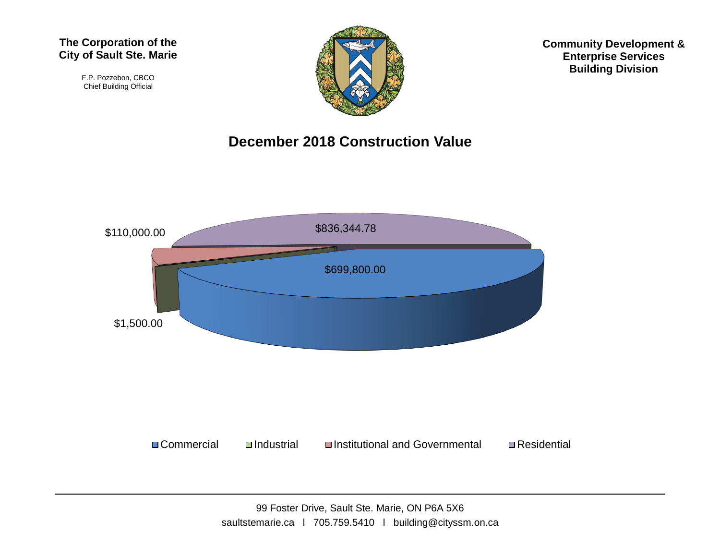F.P. Pozzebon, CBCO Chief Building Official



**Community Development & Enterprise Services Building Division**

## **December 2018 Construction Value**

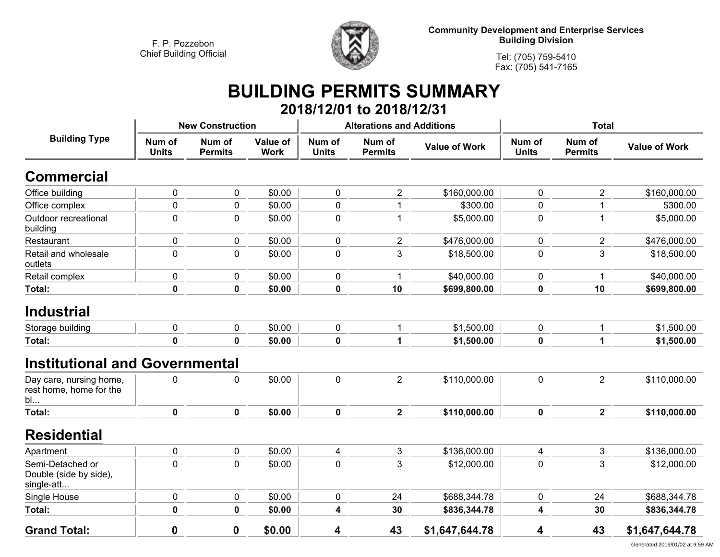

**Community Development and Enterprise Services Building Division**

**Tel: (705) 759-5410Fax: (705) 541-7165**

## **BUILDING PERMITS SUMMARY 2018/12/01 to 2018/12/31**

|                                                          | <b>New Construction</b> |                          |                                |                        | <b>Alterations and Additions</b> |                      | <b>Total</b>           |                          |                      |
|----------------------------------------------------------|-------------------------|--------------------------|--------------------------------|------------------------|----------------------------------|----------------------|------------------------|--------------------------|----------------------|
| <b>Building Type</b>                                     | Num of<br><b>Units</b>  | Num of<br><b>Permits</b> | <b>Value of</b><br><b>Work</b> | Num of<br><b>Units</b> | Num of<br><b>Permits</b>         | <b>Value of Work</b> | Num of<br><b>Units</b> | Num of<br><b>Permits</b> | <b>Value of Work</b> |
| <b>Commercial</b>                                        |                         |                          |                                |                        |                                  |                      |                        |                          |                      |
| Office building                                          | $\pmb{0}$               | 0                        | \$0.00                         | $\mathbf 0$            | $\overline{c}$                   | \$160,000.00         | 0                      | $\overline{2}$           | \$160,000.00         |
| Office complex                                           | $\pmb{0}$               | 0                        | \$0.00                         | $\pmb{0}$              | 1                                | \$300.00             | 0                      |                          | \$300.00             |
| Outdoor recreational<br>building                         | $\pmb{0}$               | 0                        | \$0.00                         | $\pmb{0}$              | $\mathbf 1$                      | \$5,000.00           | 0                      |                          | \$5,000.00           |
| Restaurant                                               | 0                       | 0                        | \$0.00                         | $\mathbf 0$            | $\overline{2}$                   | \$476,000.00         | 0                      | $\overline{2}$           | \$476,000.00         |
| Retail and wholesale<br>outlets                          | $\pmb{0}$               | $\pmb{0}$                | \$0.00                         | $\pmb{0}$              | 3                                | \$18,500.00          | 0                      | 3                        | \$18,500.00          |
| Retail complex                                           | $\pmb{0}$               | 0                        | \$0.00                         | $\pmb{0}$              | $\overline{1}$                   | \$40,000.00          | 0                      |                          | \$40,000.00          |
| Total:                                                   | $\mathbf 0$             | $\mathbf 0$              | \$0.00                         | 0                      | 10                               | \$699,800.00         | 0                      | 10                       | \$699,800.00         |
| <b>Industrial</b>                                        |                         |                          |                                |                        |                                  |                      |                        |                          |                      |
| Storage building                                         | $\mathbf 0$             | 0                        | \$0.00                         | $\pmb{0}$              | 1                                | \$1,500.00           | 0                      | 1                        | \$1,500.00           |
| Total:                                                   | $\mathbf 0$             | $\mathbf 0$              | \$0.00                         | $\pmb{0}$              | 1                                | \$1,500.00           | 0                      | 1                        | \$1,500.00           |
| <b>Institutional and Governmental</b>                    |                         |                          |                                |                        |                                  |                      |                        |                          |                      |
| Day care, nursing home,<br>rest home, home for the<br>bl | $\mathbf 0$             | 0                        | \$0.00                         | $\pmb{0}$              | $\overline{2}$                   | \$110,000.00         | 0                      | $\overline{2}$           | \$110,000.00         |
| Total:                                                   | $\mathbf 0$             | $\mathbf 0$              | \$0.00                         | $\mathbf 0$            | $\overline{2}$                   | \$110,000.00         | 0                      | $\mathbf{2}$             | \$110,000.00         |
| <b>Residential</b>                                       |                         |                          |                                |                        |                                  |                      |                        |                          |                      |
| Apartment                                                | $\pmb{0}$               | $\pmb{0}$                | \$0.00                         | 4                      | 3                                | \$136,000.00         | 4                      | 3                        | \$136,000.00         |
| Semi-Detached or<br>Double (side by side),<br>single-att | $\mathbf 0$             | 0                        | \$0.00                         | $\mathbf 0$            | 3                                | \$12,000.00          | 0                      | 3                        | \$12,000.00          |
| Single House                                             | 0                       | 0                        | \$0.00                         | 0                      | 24                               | \$688,344.78         | 0                      | 24                       | \$688,344.78         |
| Total:                                                   | $\pmb{0}$               | 0                        | \$0.00                         | 4                      | 30                               | \$836,344.78         | 4                      | 30                       | \$836,344.78         |
| <b>Grand Total:</b>                                      | $\bf{0}$                | 0                        | \$0.00                         | 4                      | 43                               | \$1,647,644.78       | 4                      | 43                       | \$1,647,644.78       |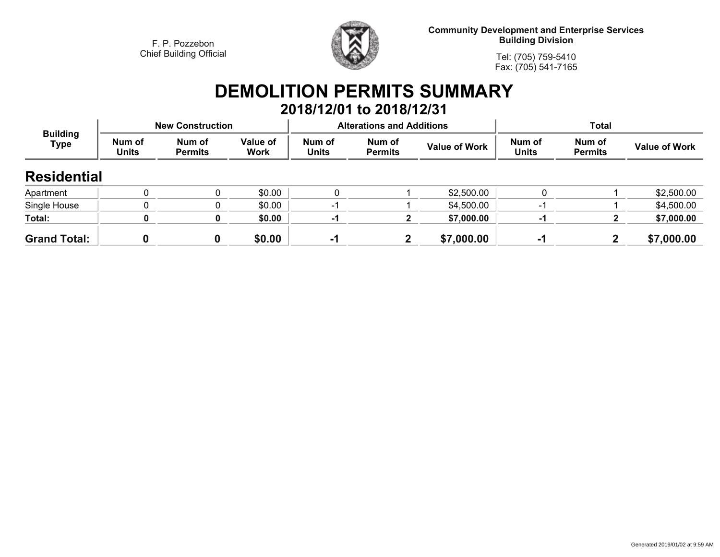

**Community Development and Enterprise Services Building Division**

**Tel: (705) 759-5410Fax: (705) 541-7165**

## **DEMOLITION PERMITS SUMMARY**

|                                |                        |                          |                         |                        | 2018/12/01 to 2018/12/31         |                      |                        |                          |                      |  |
|--------------------------------|------------------------|--------------------------|-------------------------|------------------------|----------------------------------|----------------------|------------------------|--------------------------|----------------------|--|
| <b>Building</b><br><b>Type</b> |                        | <b>New Construction</b>  |                         |                        | <b>Alterations and Additions</b> |                      | <b>Total</b>           |                          |                      |  |
|                                | Num of<br><b>Units</b> | Num of<br><b>Permits</b> | <b>Value of</b><br>Work | Num of<br><b>Units</b> | Num of<br><b>Permits</b>         | <b>Value of Work</b> | Num of<br><b>Units</b> | Num of<br><b>Permits</b> | <b>Value of Work</b> |  |
| <b>Residential</b>             |                        |                          |                         |                        |                                  |                      |                        |                          |                      |  |
| Apartment                      | 0                      |                          | \$0.00                  | 0                      |                                  | \$2,500.00           |                        |                          | \$2,500.00           |  |
| Single House                   | 0                      |                          | \$0.00                  | -1                     |                                  | \$4,500.00           | ÷                      |                          | \$4,500.00           |  |
| Total:                         |                        | 0                        | \$0.00                  | -1                     | 2                                | \$7,000.00           | -1                     |                          | \$7,000.00           |  |
| <b>Grand Total:</b>            |                        |                          | \$0.00                  | -1                     | $\mathbf{2}$                     | \$7,000.00           | -1                     |                          | \$7,000.00           |  |